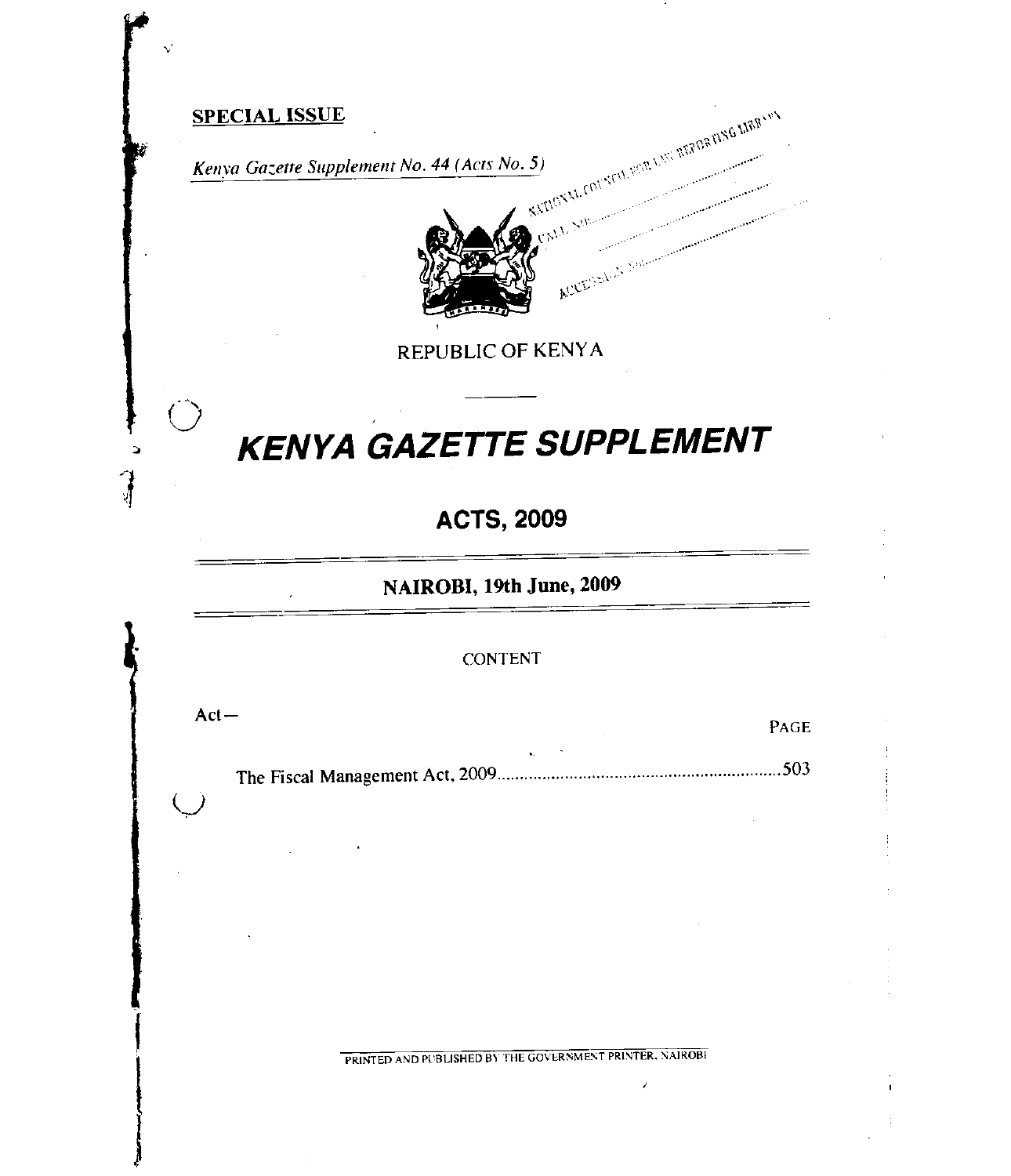# Kenya Gazette Supplement No. 44 (Acts No. 5)<br>  $\frac{1}{2} \int_{0}^{\frac{\pi}{2} \int_{0}^{\frac{\pi}{2}} |x|^2} \frac{1}{2} \int_{0}^{\frac{\pi}{2}} |x|^2 dx}$ SPECIAL ISSUE ACCESSER

REPUBLIC OF KENYA

# **KENYA GAZETTE SUPPLEMENT**

# **ACTS, 2009**

**NAIROBI, 19th June, 2009** 

#### CONTENT

Act—<br>
PAGE

 $\bigcup$ 

The Fiscal Management Act, 2009 503

PRINTED AND PUBLISHED BY THE GOVERNMENT PRINTER. NAIROBI

 $\overline{\phantom{a}}$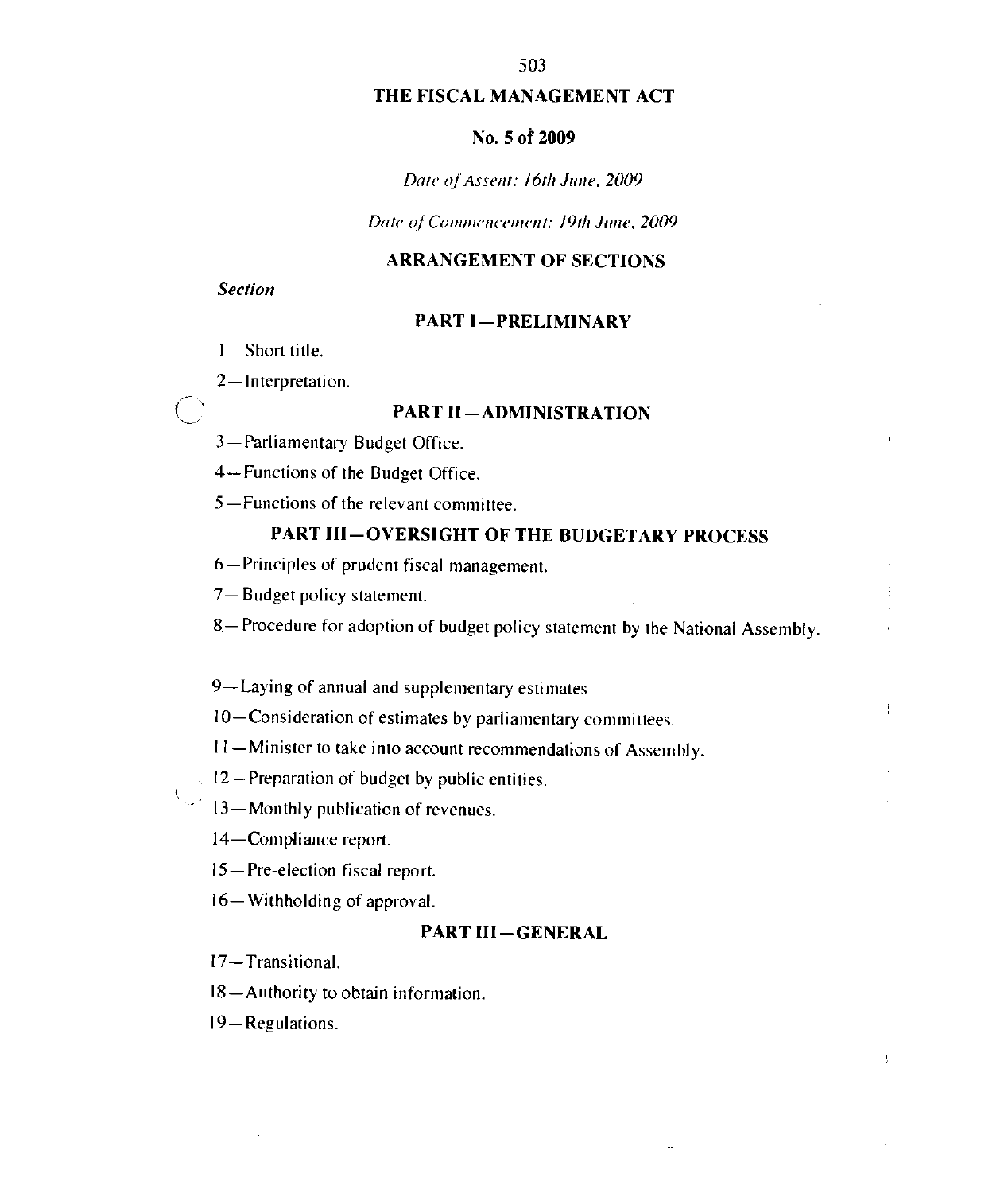#### THE FISCAL MANAGEMENT ACT

#### No. 5 of 2009

#### Date of Assent: 16th June, 2009

Date of Commencement: 19th June, 2009

#### ARRANGEMENT OF SECTIONS

#### Section

 $\bigcirc$ 

#### PART I-PRELIMINARY

- 1—Short title.
- 2—Interpretation.

#### PART II—ADMINISTRATION

- 3-Parliamentary Budget Office.
- 4—Functions of the Budget Office.
- 5—Functions of the relevant committee.

## PART III—OVERSIGHT OF THE BUDGETARY PROCESS

- 6—Principles of prudent fiscal management.
- 7—Budget policy statement.
- 8—Procedure for adoption of budget policy statement by the National Assembly.
- 9—Laying of annual and supplementary estimates
- 10—Consideration of estimates by parliamentary committees.
- I I —Minister to take into account recommendations of Assembly.

I2—Preparation of budget by public entities.

- 13—Monthly publication of revenues.
- 14—Compliance report.
- 15 —Pre-election fiscal report.
- 16— Withholding of approval.

#### PART III—GENERAL

ż,

17—Transitional.

18—Authority to obtain information.

19-Regulations.

#### 503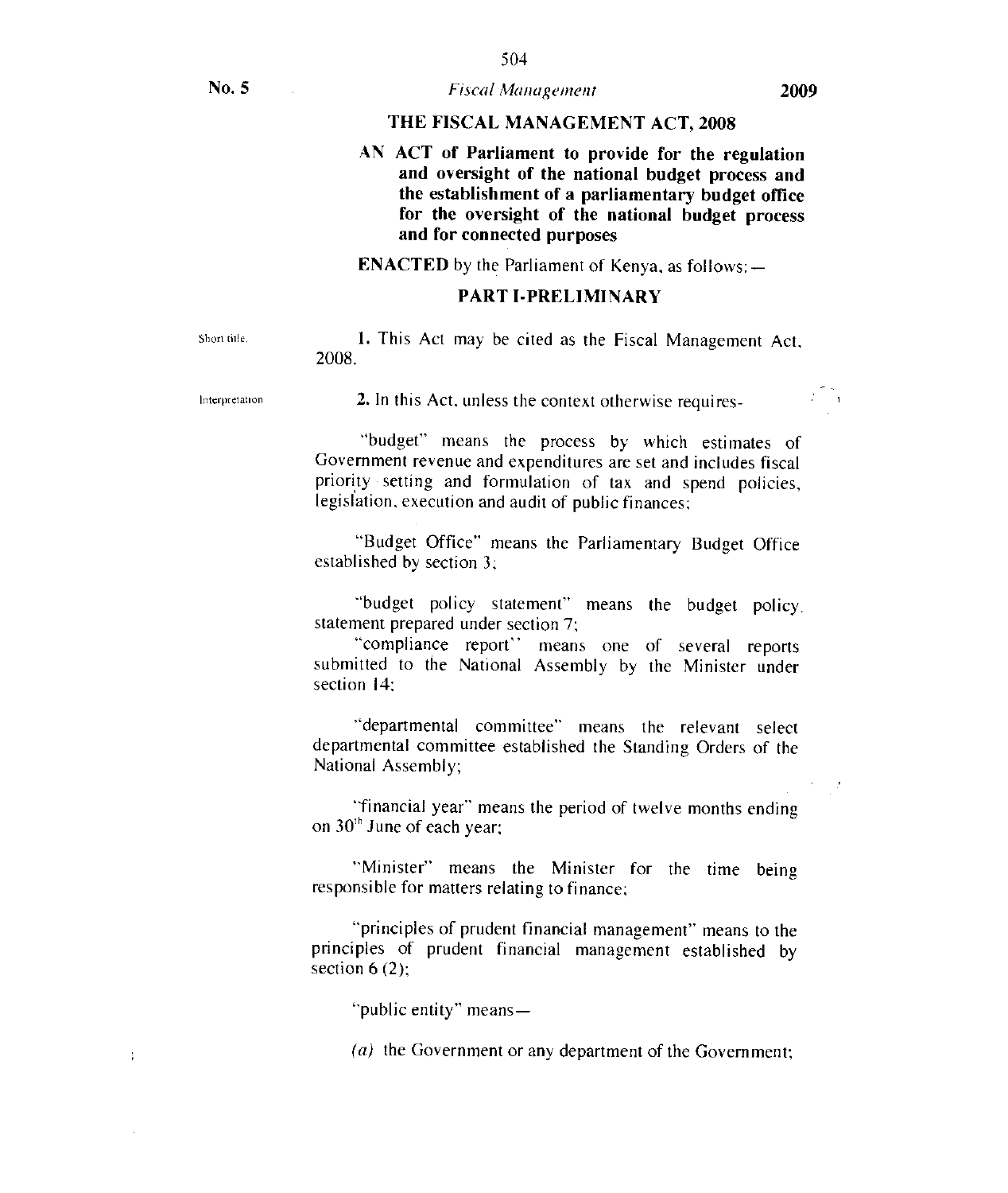#### No. 5 **Fiscal Management** 2009

#### THE FISCAL MANAGEMENT ACT, 2008

AN ACT of Parliament to provide for the regulation and oversight of the national budget process and the establishment of a parliamentary budget office for the oversight of the national budget process and for connected purposes

ENACTED by the Parliament of Kenya. as follows:—

#### PART 1-PRELIMINARY

 $\ddot{i}$ 

Short title. 1. This Act may be cited as the Fiscal Management Act, 2008.

Interpretation 2. In this Act, unless the context otherwise requires-

"budget" means the process by which estimates of Government revenue and expenditures are set and includes fiscal priority setting and formulation of tax and spend policies, legislation, execution and audit of public finances;

"Budget Office" means the Parliamentary Budget Office established by section 3:

"budget policy statement" means the budget policy, statement prepared under section 7;

"compliance report" means one of several reports submitted to the National Assembly by the Minister under section 14:

"departmental committee" means the relevant select departmental committee established the Standing Orders of the National Assembly;

"financial year" means the period of twelve months ending on  $30<sup>th</sup>$  June of each year:

"Minister" means the Minister for the time being responsible for matters relating to finance;

"principles of prudent financial management" means to the principles of prudent financial management established by section  $6(2)$ ;

"public entity" means—

(a) the Government or any department of the Government;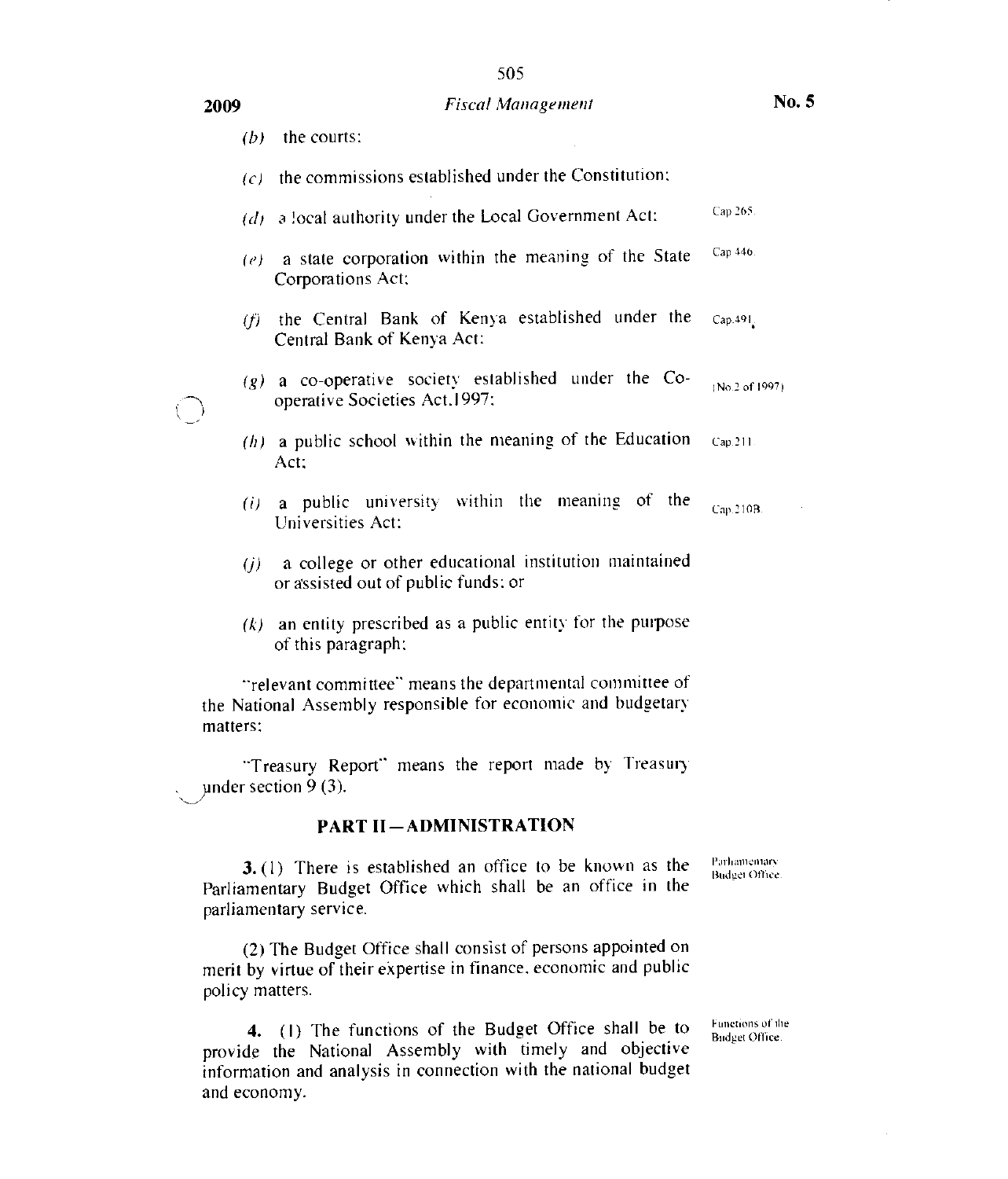#### 2009 Fiscal Management

|                                                                                                                                      | (b) | the courts:                                                                                  |                |
|--------------------------------------------------------------------------------------------------------------------------------------|-----|----------------------------------------------------------------------------------------------|----------------|
|                                                                                                                                      | (c) | the commissions established under the Constitution;                                          |                |
|                                                                                                                                      |     | $(d)$ a local authority under the Local Government Act:                                      | Cap 265.       |
|                                                                                                                                      |     | $(e)$ a state corporation within the meaning of the State<br>Corporations Act;               | Cap 446.       |
|                                                                                                                                      | (f) | the Central Bank of Kenya established under the<br>Central Bank of Kenya Act:                | Cap. 491.      |
|                                                                                                                                      |     | $(g)$ a co-operative society established under the Co-<br>operative Societies Act.1997:      | (No.2 of 1997) |
|                                                                                                                                      |     | $(h)$ a public school within the meaning of the Education<br>Act:                            | Cap.211.       |
|                                                                                                                                      | (i) | a public university within the meaning of the<br>Universities Act:                           | Cap.210B.      |
|                                                                                                                                      | (i) | a college or other educational institution maintained<br>or assisted out of public funds: or |                |
|                                                                                                                                      |     | $(k)$ an entity prescribed as a public entity for the purpose<br>of this paragraph:          |                |
| "relevant committee" means the departmental committee of<br>the National Assembly responsible for economic and budgetary<br>matters: |     |                                                                                              |                |
|                                                                                                                                      |     | "Treasury Report" means the report made by Treasury<br>under section $9(3)$ .                |                |
|                                                                                                                                      |     | <b>PART II-ADMINISTRATION</b>                                                                |                |

3. (I) There is established an office to be known as the Parliamentary Budget Office which shall be an office in the parliamentary service. Parliamentars Budge) Office .

(2) The Budget Office shall consist of persons appointed on merit by virtue of their expertise in finance. economic and public policy matters.

provide the National Assembly with timely and objective 4. (1) The functions of the Budget Office shall be to Functions of the information and analysis in connection with the national budget and economy.

Functions of the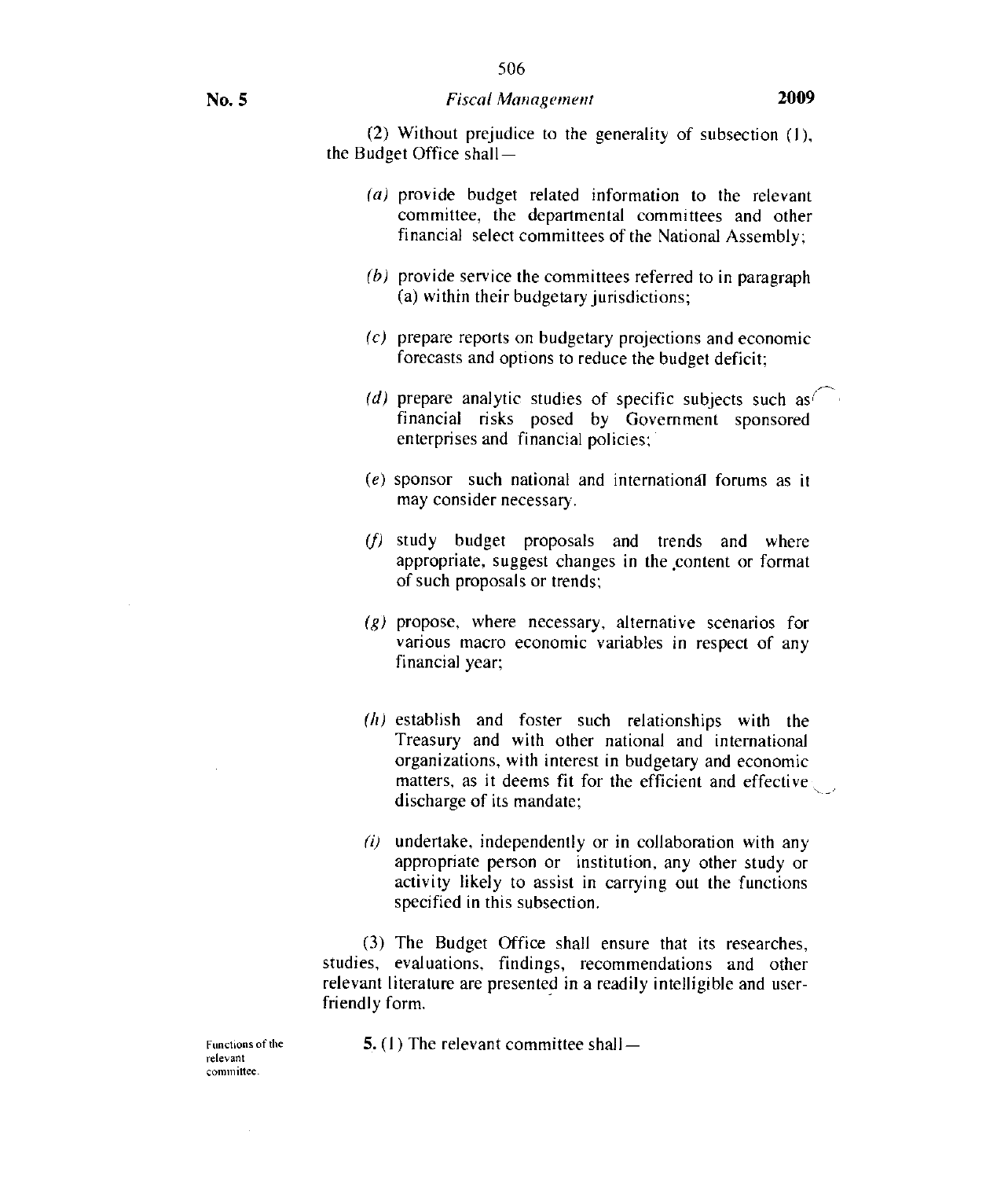(2) Without prejudice to the generality of subsection  $(1)$ , the Budget Office shall —

- (a) provide budget related information to the relevant committee, the departmental committees and other financial select committees of the National Assembly;
- $(b)$  provide service the committees referred to in paragraph (a) within their budgetary jurisdictions;
- (c) prepare reports on budgetary projections and economic forecasts and options to reduce the budget deficit;
- (d) prepare analytic studies of specific subjects such as  $\frac{1}{2}$  financial risks posed by Government sponsored enterprises and financial policies;
- (e) sponsor such national and international forums as it may consider necessary.
- (f) study budget proposals and trends and where appropriate, suggest changes in the content or format of such proposals or trends;
- (g) propose, where necessary, alternative scenarios for various macro economic variables in respect of any financial year;
- $(h)$  establish and foster such relationships with the Treasury and with other national and international organizations, with interest in budgetary and economic matters, as it deems fit for the efficient and effective discharge of its mandate;
- $(i)$  undertake, independently or in collaboration with any appropriate person or institution, any other study or activity likely to assist in carrying out the functions specified in this subsection.

(3) The Budget Office shall ensure that its researches, studies, evaluations, findings, recommendations and other relevant literature are presented in a readily intelligible and userfriendly form.

Functions of the  $\qquad \qquad$  5. (1) The relevant committee shall  $-$ 

relevant committee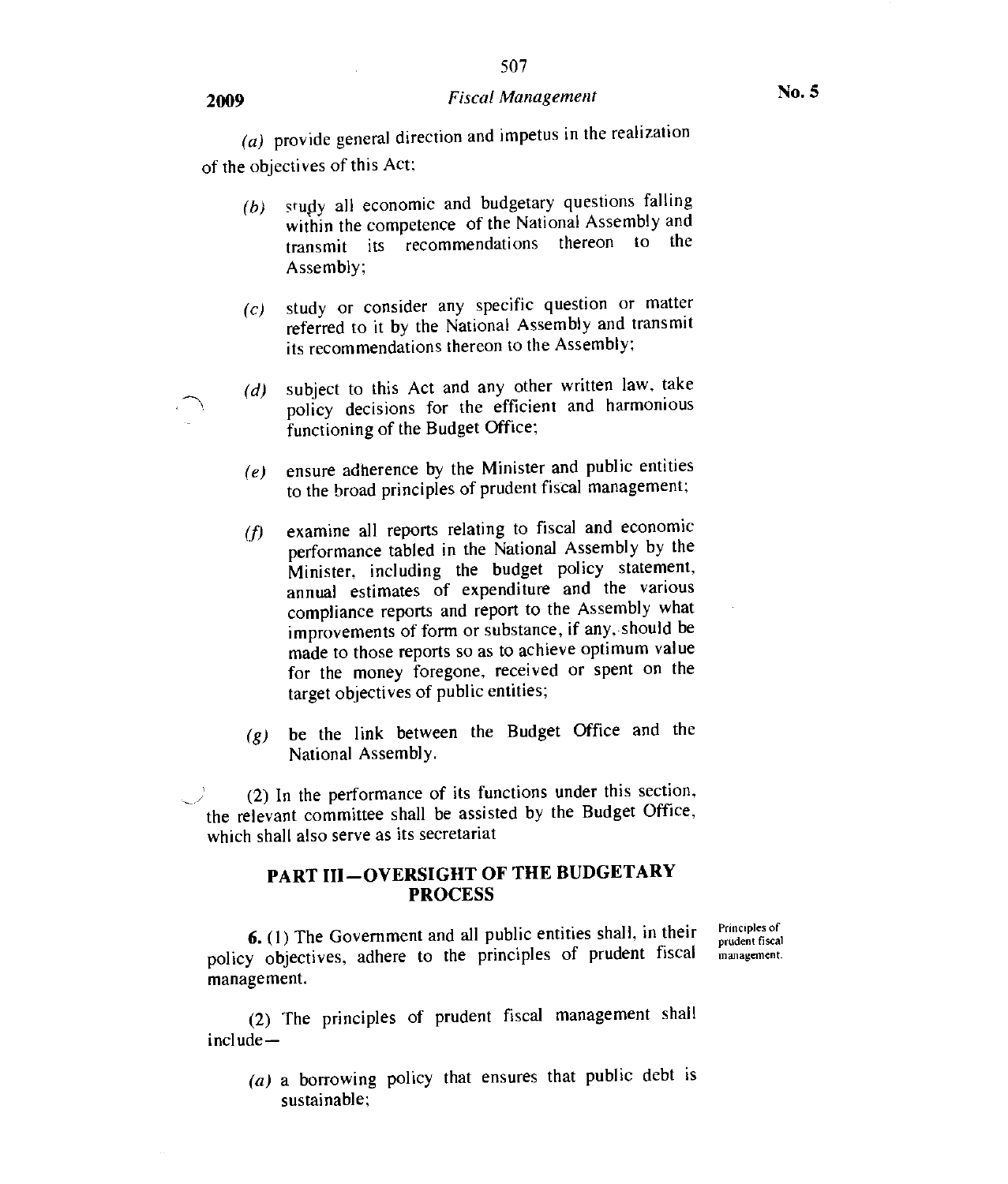# <sup>2009</sup>*Fiscal Management* No. 5

507

(a) provide general direction and impetus in the realization of the objectives of this Act;

- (b) study all economic and budgetary questions falling within the competence of the National Assembly and transmit its recommendations thereon to the Assembly;
- (c) study or consider any specific question or matter referred to it by the National Assembly and transmit its recommendations thereon to the Assembly;
- $(d)$  subject to this Act and any other written law, take policy decisions for the efficient and harmonious functioning of the Budget Office;
- $(e)$  ensure adherence by the Minister and public entities to the broad principles of prudent fiscal management;
- $(f)$  examine all reports relating to fiscal and economic performance tabled in the National Assembly by the Minister, including the budget policy statement, annual estimates of expenditure and the various compliance reports and report to the Assembly what improvements of form or substance, if any, should be made to those reports so as to achieve optimum value for the money foregone, received or spent on the target objectives of public entities;
- be the link between the Budget Office and the *(g)*National Assembly.

(2) In the performance of its functions under this section, the relevant committee shall be assisted by the Budget Office, which shall also serve as its secretariat

#### PART III—OVERSIGHT OF THE BUDGETARY PROCESS

6. (1) The Government and all public entities shall, in their policy objectives, adhere to the principles of prudent fiscal management.

Principles of prudent fiscal management .

(2) The principles of prudent fiscal management shall include—

(a) a borrowing policy that ensures that public debt is sustainable;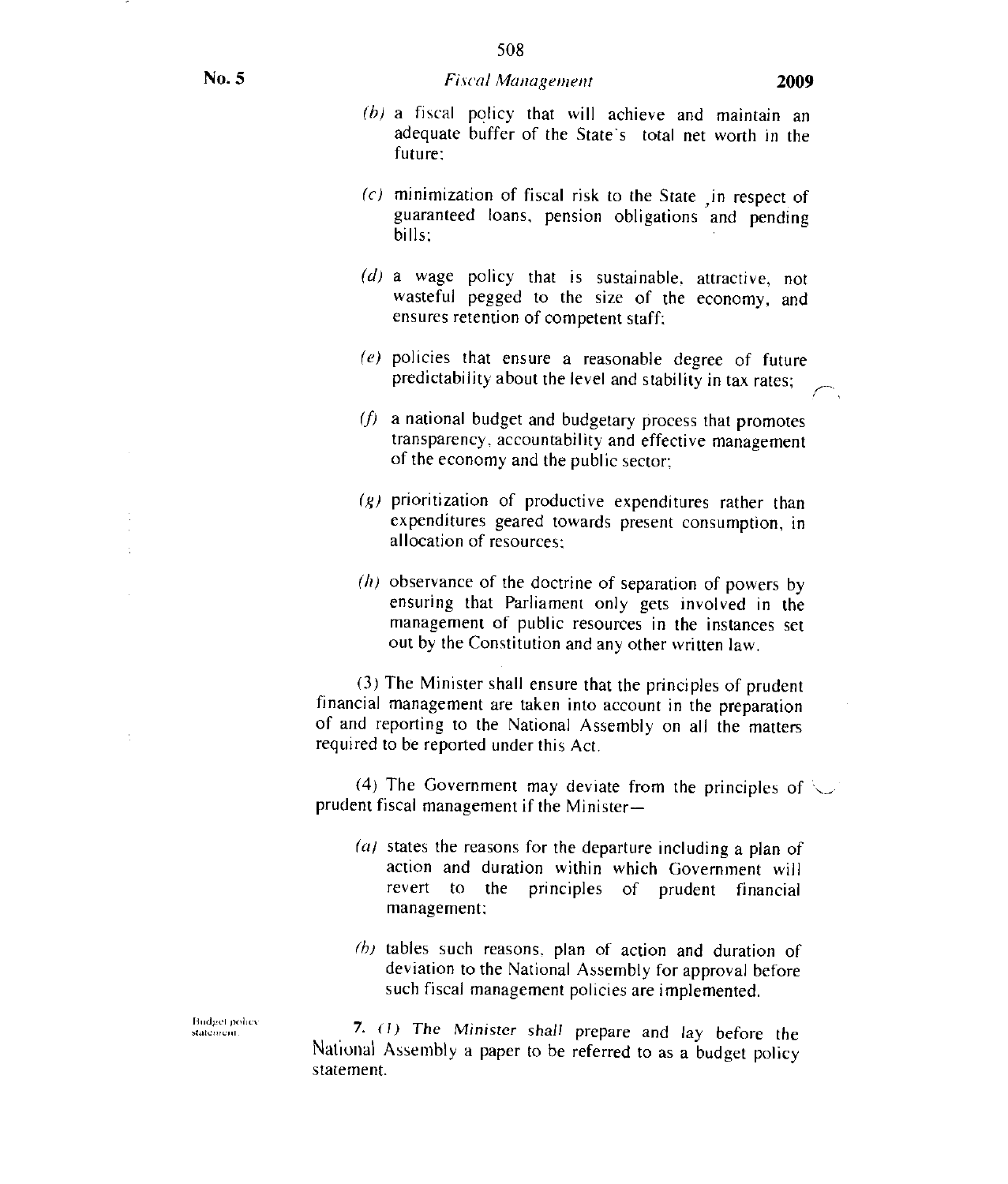#### No. 5 **Fiscal Management** 2009

- (b) a fiscal policy that will achieve and maintain an adequate buffer of the State's total net worth in the future:
- $(c)$  minimization of fiscal risk to the State in respect of guaranteed loans, pension obligations and pending bills:
- (d) a wage policy that is sustainable, attractive, not wasteful pegged to the size of the economy, and ensures retention of competent staff:
- (e) policies that ensure a reasonable degree of future predictability about the level and stability in tax rates;
- $(f)$  a national budget and budgetary process that promotes transparency, accountability and effective management of the economy and the public sector;
- $(g)$  prioritization of productive expenditures rather than expenditures geared towards present consumption, in allocation of resources;
- $(h)$  observance of the doctrine of separation of powers by ensuring that Parliament only gets involved in the management of public resources in the instances set out by the Constitution and any other written law.

(3) The Minister shall ensure that the principles of prudent financial management are taken into account in the preparation of and reporting to the National Assembly on all the matters required to be reported under this Act.

(4) The Government may deviate from the principles of  $\searrow$ prudent fiscal management if the Minister—

- $(a)$  states the reasons for the departure including a plan of action and duration within which Government will revert to the principles of prudent financial management;
- $(h)$  tables such reasons, plan of action and duration of deviation to the National Assembly for approval before such fiscal management policies are implemented.

7. (I) The Minister shall prepare and lay before the National Assembly a paper to be referred to as a budget policy statement.

Budge! oolic. statemeni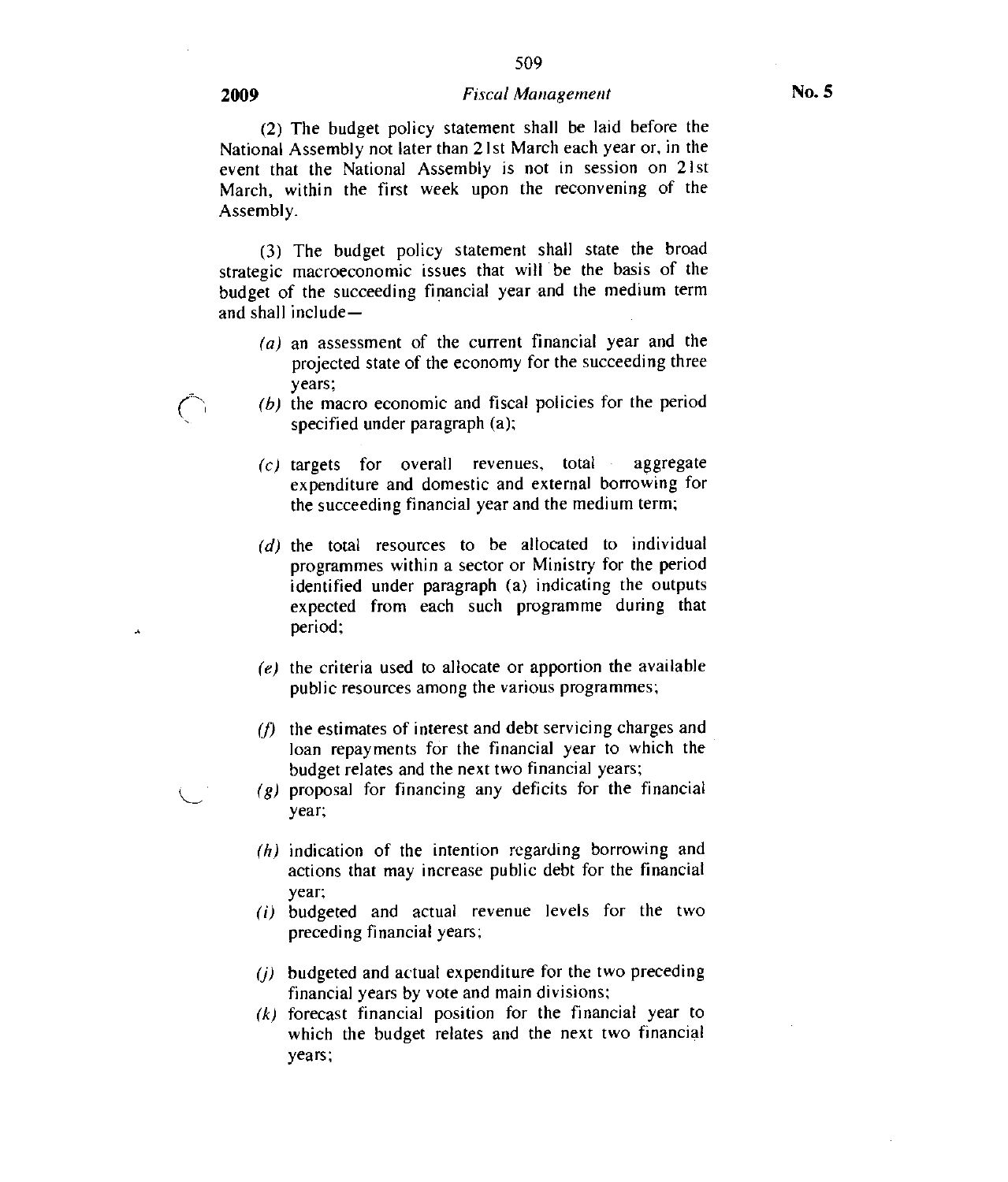#### 2009 *Fiscal Management* No. 5

509

(2) The budget policy statement shall be laid before the National Assembly not later than 21st March each year or, in the event that the National Assembly is not in session on 21st March, within the first week upon the reconvening of the Assembly.

(3) The budget policy statement shall state the broad strategic macroeconomic issues that will be the basis of the budget of the succeeding financial year and the medium term and shall include—

- (a) an assessment of the current financial year and the projected state of the economy for the succeeding three years;
- (b) the macro economic and fiscal policies for the period specified under paragraph (a);
- $(c)$  targets for overall revenues, total aggregate expenditure and domestic and external borrowing for the succeeding financial year and the medium term;
- (d) the total resources to be allocated to individual programmes within a sector or Ministry for the period identified under paragraph (a) indicating the outputs expected from each such programme during that period;
- (e) the criteria used to allocate or apportion the available public resources among the various programmes;
- $(f)$  the estimates of interest and debt servicing charges and loan repayments for the financial year to which the budget relates and the next two financial years;
- $(g)$  proposal for financing any deficits for the financial year;
- (h) indication of the intention regarding borrowing and actions that may increase public debt for the financial year;
- (i) budgeted and actual revenue levels for the two preceding financial years;
- (j) budgeted and actual expenditure for the two preceding financial years by vote and main divisions;
- $(k)$  forecast financial position for the financial year to which the budget relates and the next two financial years;

Â,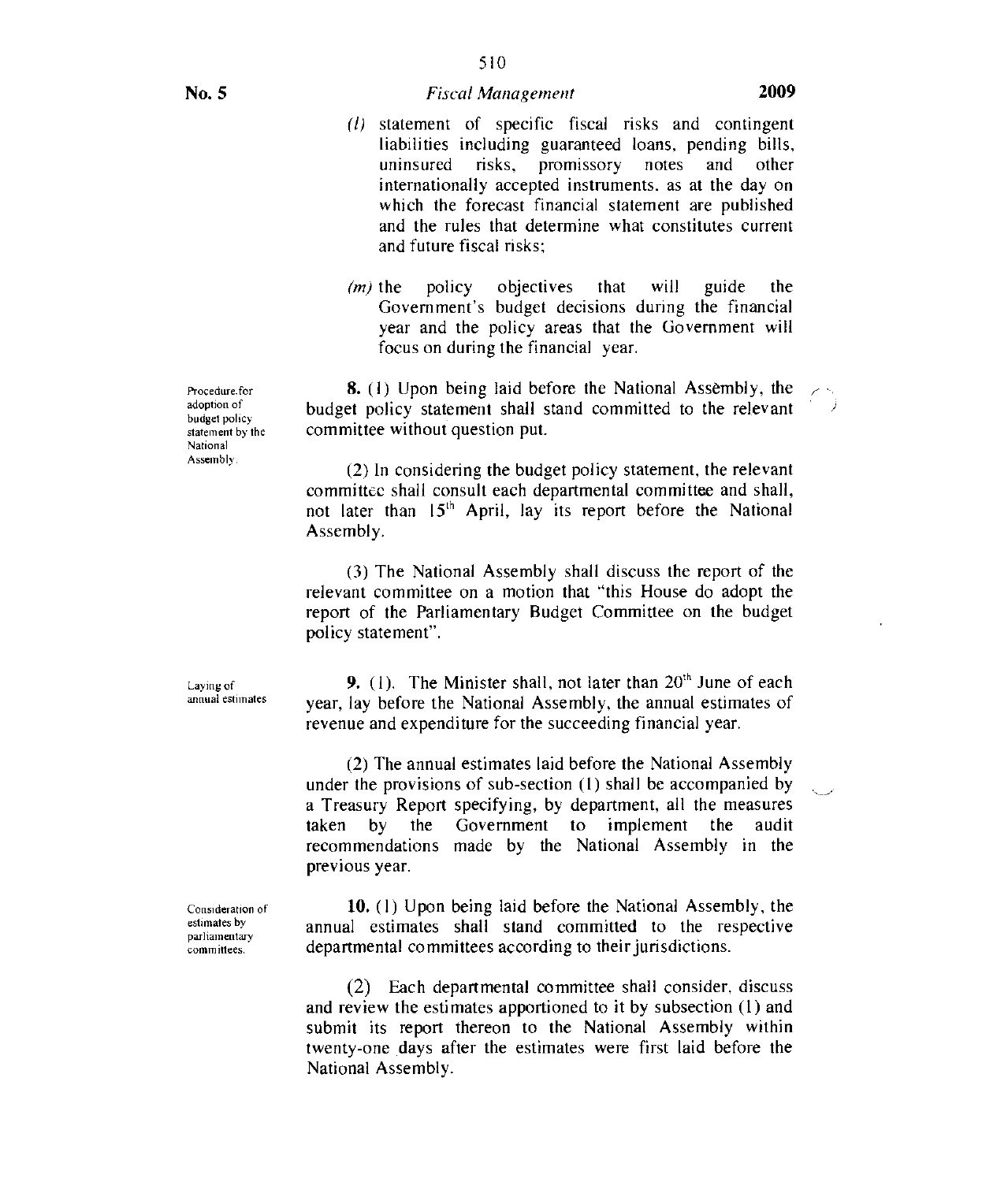510

- (1) statement of specific fiscal risks and contingent liabilities including guaranteed loans, pending bills, uninsured risks, promissory notes and other internationally accepted instruments, as at the day on which the forecast financial statement are published and the rules that determine what constitutes current and future fiscal risks:
- $(m)$  the policy objectives that will guide the Government's budget decisions during the financial year and the policy areas that the Government will focus on during the financial year.

8. (1) Upon being laid before the National Assembly, the budget policy statement shall stand committed to the relevant committee without question put.

(2) In considering the budget policy statement, the relevant committee shall consult each departmental committee and shall, not later than  $15<sup>th</sup>$  April, lay its report before the National Assembly.

(3) The National Assembly shall discuss the report of the relevant committee on a motion that "this House do adopt the report of the Parliamentary Budget Committee on the budget policy statement".

Laying of annual estimates

9. (1). The Minister shall, not later than  $20<sup>th</sup>$  June of each year, lay before the National Assembly, the annual estimates of revenue and expenditure for the succeeding financial year.

(2) The annual estimates laid before the National Assembly under the provisions of sub-section (1) shall be accompanied by a Treasury Report specifying, by department, all the measures taken by the Government to implement the audit recommendations made by the National Assembly in the previous year.

Consideration of estimates by parliamentary committees.

10. (I) Upon being laid before the National Assembly, the annual estimates shall stand committed to the respective departmental committees according to their jurisdictions.

(2) Each departmental committee shall consider, discuss and review the estimates apportioned to it by subsection (1) and submit its report thereon to the National Assembly within twenty-one days after the estimates were first laid before the National Assembly.

Procedure.for adoption of budget policy statement by the National Assembly.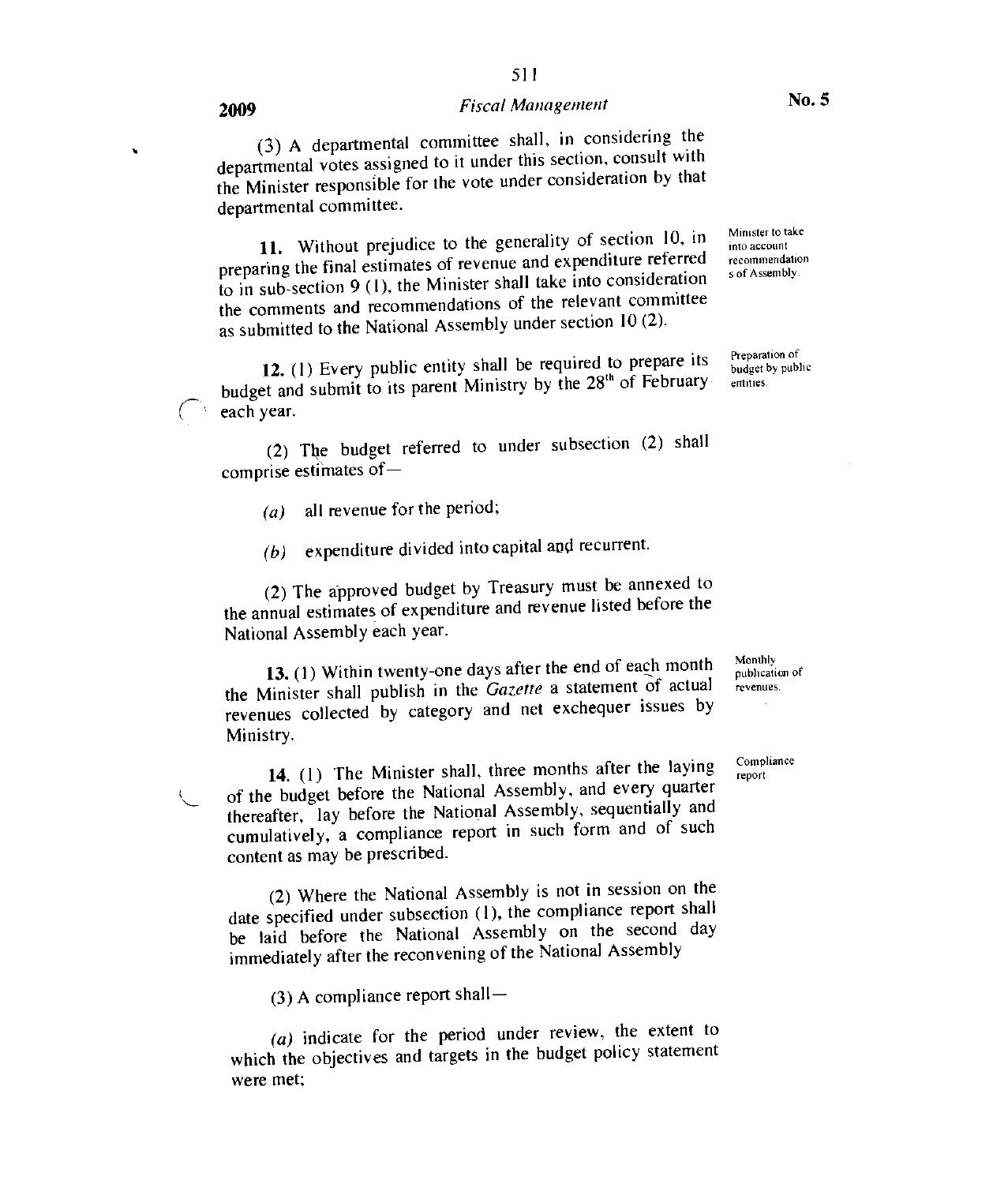# 2009 **Fiscal Management** No. 5

511

(3) A departmental committee shall, in considering the departmental votes assigned to it under this section, consult with the Minister responsible for the vote under consideration by that departmental committee.

11. Without prejudice to the generality of section 10, in preparing the final estimates of revenue and expenditure referred to in sub-section 9 (1), the Minister shall take into consideration the comments and recommendations of the relevant committee as submitted to the National Assembly under section 10 (2).

12. (1) Every public entity shall be required to prepare its budget and submit to its parent Ministry by the 28<sup>th</sup> of February each year.

(2) The budget referred to under subsection (2) shall comprise estimates of —

- (a) all revenue for the period;
- (b) expenditure divided into capital and recurrent.

(2) The approved budget by Treasury must be annexed to the annual estimates of expenditure and revenue listed before the National Assembly each year.

13. (1) Within twenty-one days after the end of each month the Minister shall publish in the Gazette a statement of actual revenues collected by category and net exchequer issues by Ministry.

14. (1) The Minister shall, three months after the laying of the budget before the National Assembly, and every quarter thereafter, lay before the National Assembly, sequentially and cumulatively, a compliance report in such form and of such content as may be prescribed.

(2) Where the National Assembly is not in session on the date specified under subsection (1), the compliance report shall be laid before the National Assembly on the second day immediately after the reconvening of the National Assembly

(3) A compliance report shall  $-$ 

(a) indicate for the period under review, the extent to which the objectives and targets in the budget policy statement were met;

Monthly publication of revenues.

Compliance report

Preparation of budget by public

entities.

Minister to take into account recommendation s of Assembly.

 $\hat{\mathbf{r}}$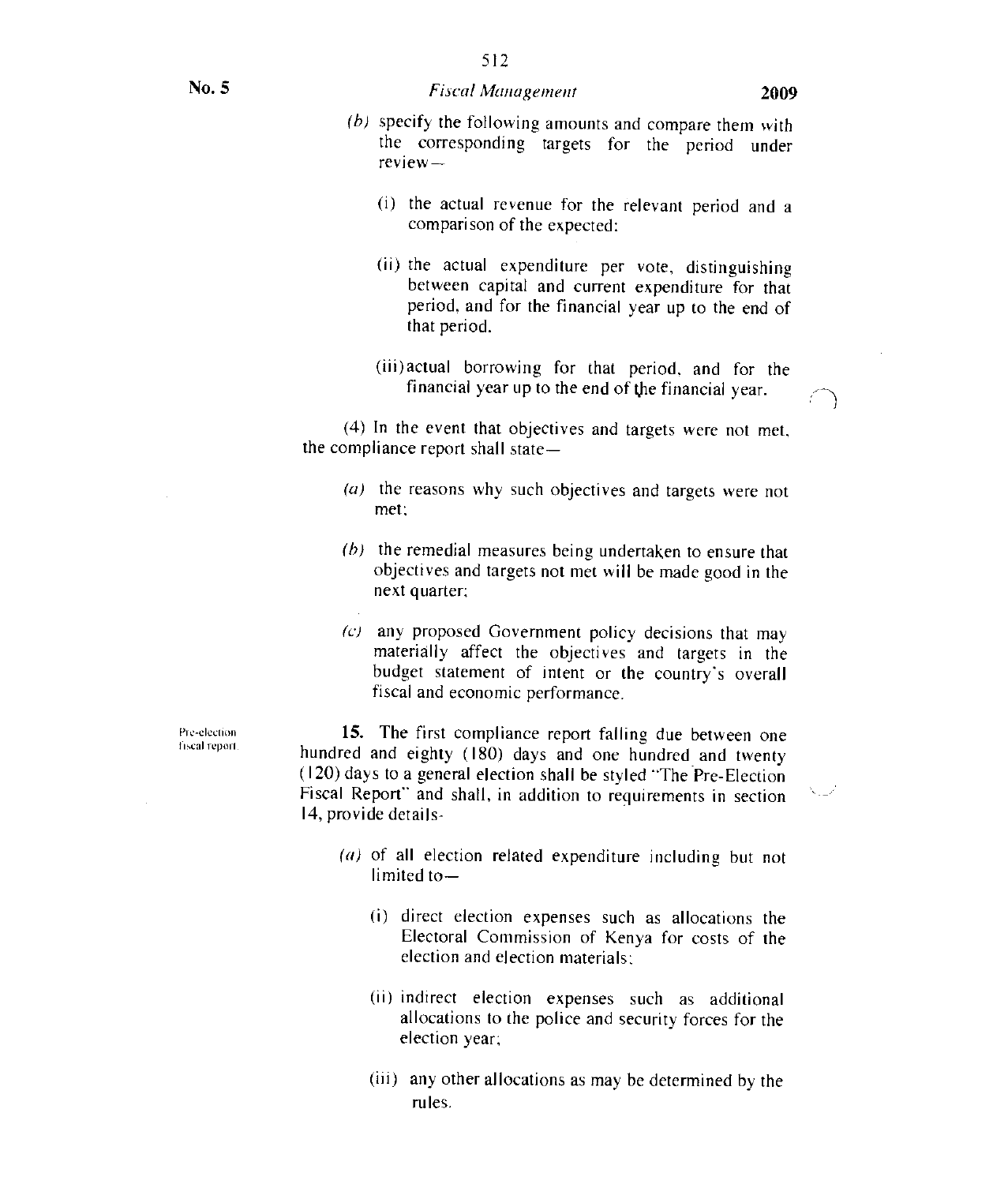$\mathcal{N}_{\text{max}}$ 

- (b) specify the following amounts and compare them with the corresponding targets for the period under review-
	- (i) the actual revenue for the relevant period and a comparison of the expected:
	- (ii) the actual expenditure per vote, distinguishing between capital and current expenditure for that period, and for the financial year up to the end of that period.
	- (iii)actual borrowing for that period, and for the financial year up to the end of the financial year.

(4) In the event that objectives and targets were not met. the compliance report shall state—

- (a) the reasons why such objectives and targets were not met:
- $(b)$  the remedial measures being undertaken to ensure that objectives and targets not met will be made good in the next quarter;
- $(c)$  any proposed Government policy decisions that may materially affect the objectives and targets in the budget statement of intent or the country's overall fiscal and economic performance.

15. The first compliance report falling due between one hundred and eighty (180) days and one hundred and twenty (120) days to a general election shall be styled "The Pre-Election Fiscal Report" and shall. in addition to requirements in section 14, provide details-

- (a) of all election related expenditure including but not  $limited to -$ 
	- (i) direct election expenses such as allocations the Electoral Commission of Kenya for costs of the election and election materials;
	- (ii) indirect election expenses such as additional allocations to the police and security forces for the election year;
	- (iii) any other allocations as may be determined by the rules.

Pre-election fiscal report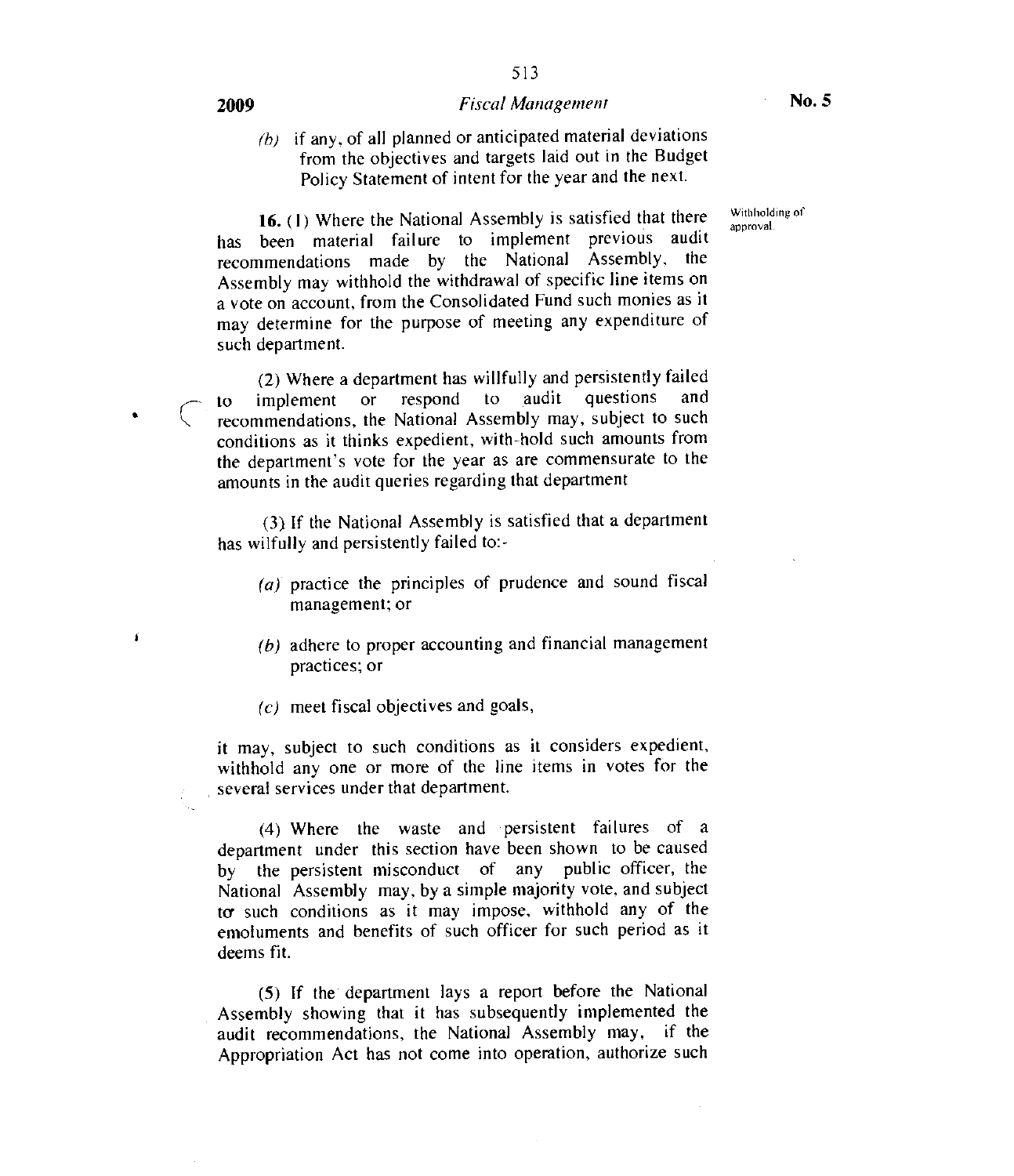#### 2009 **Fiscal Management** • No. 5

 $(b)$  if any, of all planned or anticipated material deviations from the objectives and targets laid out in the Budget Policy Statement of intent for the year and the next.

> Withholding of approval.

16. (1) Where the National Assembly is satisfied that there has been material failure to implement previous audit recommendations made by the National Assembly. the Assembly may withhold the withdrawal of specific line items on a vote on account, from the Consolidated Fund such monies as it may determine for the purpose of meeting any expenditure of such department.

(2) Where a department has willfully and persistently failed to implement or respond to audit questions and recommendations, the National Assembly may, subject to such conditions as it thinks expedient, with-hold such amounts from the department's vote for the year as are commensurate to the amounts in the audit queries regarding that department

(3) If the National Assembly is satisfied that a department has wilfully and persistently failed to:-

- (a) practice the principles of prudence and sound fiscal management; or
- (b) adhere to proper accounting and financial management practices; or
- $(c)$  meet fiscal objectives and goals,

it may, subject to such conditions as it considers expedient, withhold any one or more of the line items in votes for the several services under that department.

(4) Where the waste and persistent failures of a department under this section have been shown to be caused by the persistent misconduct of any public officer, the National Assembly may, by a simple majority vote, and subject to such conditions as it may impose, withhold any of the emoluments and benefits of such officer for such period as it deems fit.

(5) If the department lays a report before the National Assembly showing that it has subsequently implemented the audit recommendations, the National Assembly may, if the Appropriation Act has not come into operation, authorize such

f.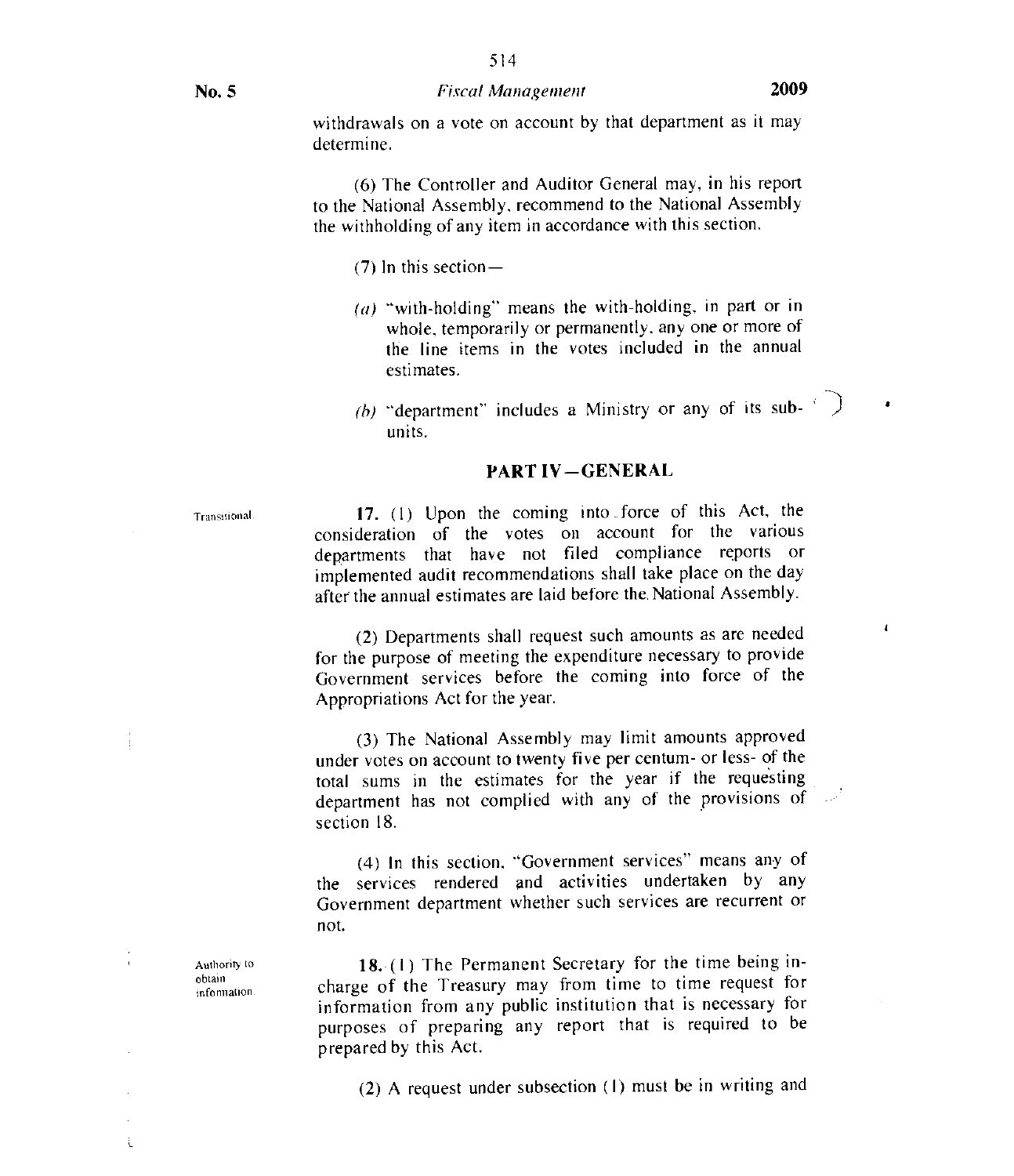#### No. 5 *Fiscal Management* 2009

514

(6) The Controller and Auditor General may, in his report to the National Assembly, recommend to the National Assembly the withholding of any item in accordance with this section.

(7) In this section—

- $(a)$  "with-holding" means the with-holding, in part or in whole, temporarily or permanently, any one or more of the line items in the votes included in the annual estimates.
- (b) "department" includes a Ministry or any of its subunits.

#### PART IV—GENERAL

Transttional 17. (I) Upon the coming into force of this Act, the consideration of the votes on account for the various departments that have not filed compliance reports or implemented audit recommendations shall take place on the day after the annual estimates are laid before the, National Assembly.

> (2) Departments shall request such amounts as are needed for the purpose of meeting the expenditure necessary to provide Government services before the coming into force of the Appropriations Act for the year.

> (3) The National Assembly may limit amounts approved under votes on account to twenty five per centum- or less- of the total sums in the estimates for the year if the requesting department has not complied with any of the provisions of section 18.

> (4) In this section, "Government services" means any of the services rendered and activities undertaken by any Government department whether such services are recurrent or not.

> 18. (1) The Permanent Secretary for the time being incharge of the Treasury may from time to time request for information from any public institution that is necessary for meanned in the controller that is required to be prepared by this Act.

(2) A request under subsection (I) must be in writing and

Authority to obtain information.  $\bullet$ 

 $\pmb{i}$ 

f,

j.